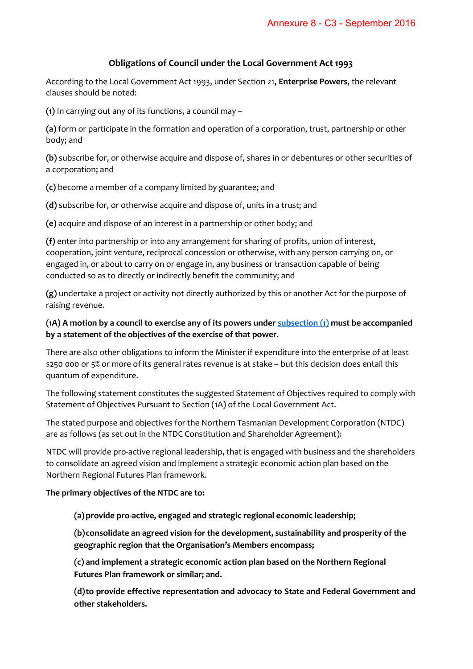## **Obligations of Council under the Local Government Act 1993**

According to the Local Government Act 1993, under Section 21**, Enterprise Powers**, the relevant clauses should be noted:

**(1)** In carrying out any of its functions, a council may –

**(a)** form or participate in the formation and operation of a corporation, trust, partnership or other body; and

**(b)** subscribe for, or otherwise acquire and dispose of, shares in or debentures or other securities of a corporation; and

**(c)** become a member of a company limited by guarantee; and

**(d)** subscribe for, or otherwise acquire and dispose of, units in a trust; and

**(e)** acquire and dispose of an interest in a partnership or other body; and

**(f)** enter into partnership or into any arrangement for sharing of profits, union of interest, cooperation, joint venture, reciprocal concession or otherwise, with any person carrying on, or engaged in, or about to carry on or engage in, any business or transaction capable of being conducted so as to directly or indirectly benefit the community; and

**(g)** undertake a project or activity not directly authorized by this or another Act for the purpose of raising revenue.

## **(1A) A motion by a council to exercise any of its powers unde[r subsection \(1\)](http://www.thelaw.tas.gov.au/tocview/content.w3p;cond=;doc_id=95%2B%2B1993%2BGS21%40Gs1%40EN%2B20160909000000;histon=;inforequest=;pdfauthverid=;prompt=;rec=35;rtfauthverid=;term=;webauthverid=#GS21@Gs1@EN) must be accompanied by a statement of the objectives of the exercise of that power.**

There are also other obligations to inform the Minister if expenditure into the enterprise of at least \$250 000 or 5% or more of its general rates revenue is at stake – but this decision does entail this quantum of expenditure.

The following statement constitutes the suggested Statement of Objectives required to comply with Statement of Objectives Pursuant to Section (1A) of the Local Government Act.

The stated purpose and objectives for the Northern Tasmanian Development Corporation (NTDC) are as follows (as set out in the NTDC Constitution and Shareholder Agreement):

NTDC will provide pro-active regional leadership, that is engaged with business and the shareholders to consolidate an agreed vision and implement a strategic economic action plan based on the Northern Regional Futures Plan framework.

## **The primary objectives of the NTDC are to:**

**(a) provide pro-active, engaged and strategic regional economic leadership;** 

**(b) consolidate an agreed vision for the development, sustainability and prosperity of the geographic region that the Organisation's Members encompass;**

**(c) and implement a strategic economic action plan based on the Northern Regional Futures Plan framework or similar; and.** 

**(d) to provide effective representation and advocacy to State and Federal Government and other stakeholders.**